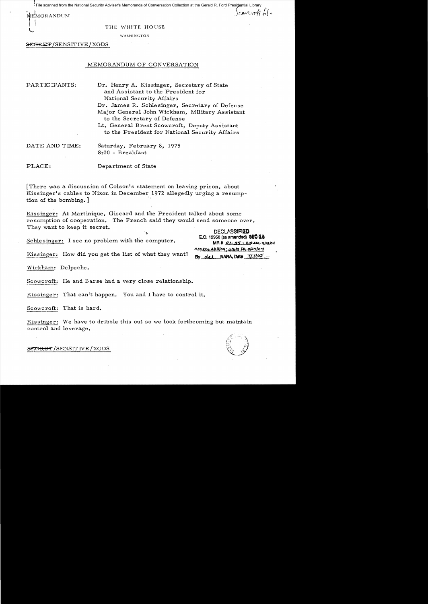File scanned from the National Security Adviser's Memoranda of Conversation Collection at the Gerald R. Ford Presidential Library

MEMORANDUM

L

#### THE WHITE HOUSE

WASHINGTON

~/SENSITIVE/XGDS

# MEMORANDUM OF CONVERSATION

PARTICIPANTS: Dr. Henry A. Kissinger, Secretary of State and Assistant to the President for National Security Affairs Dr. James R. Schlesinger, Secretary of Defense Major General John Wickham, Military Assistant to the Secretary of Defense Lt. General Brent Scowcroft, Deputy Assistant

to the President for National Security Affairs

DATE AND TIME: Saturday, February 8, 1975 8:00 - Breakfast

PLACE: Department of State

There was a discussion of Colson's statement on leaving prison, about Kissinger's cables to Nixon in December 1972 allegedly urging a resumption of the bombing.

Kissinger: At Martinique, Giscard and the President talked about some resumption of cooperation. The French said they would send someone over. They want to keep it secret.<br>
F.O. 12958 (as amended) 960 3.5

Schlesinger: I see no problem with the computer. MR#  $Q$ -55'  $\leq$   $\leq$   $\leq$   $\leq$   $\leq$   $\leq$   $\leq$   $\leq$   $\leq$   $\leq$   $\leq$   $\leq$   $\leq$   $\leq$   $\leq$   $\leq$   $\leq$   $\leq$   $\leq$   $\leq$   $\leq$   $\leq$   $\leq$   $\leq$   $\leq$   $\leq$   $\leq$ 

os<u>per 2/13/04; arte in olaylot</u><br>By dat NARA, Date 7/7/05

 $\frac{1}{2}$ 

Kissinger: How did you get the list of what they want?

Wickham: Delpeche.

Scowcroft: He and Barse had a very close relationship.

Kissinger: That can't happen. You and I have to control it.

Scowcroft: That is hard.

Kissinger: We have to dribble this out so we look forthcoming but maintain control and leverage.



~RE~ /SENSIT *NE* /XGDS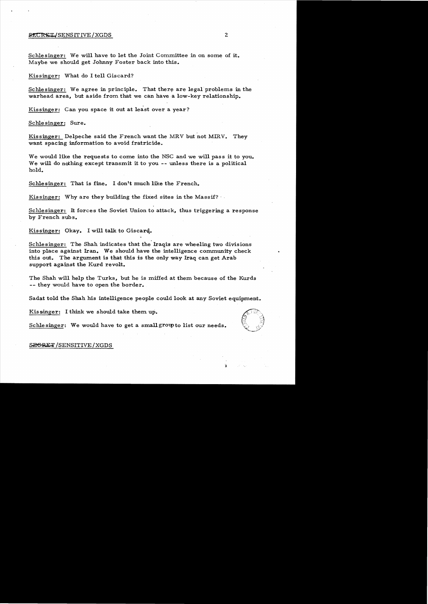# **SECRET/SENSITIVE/XGDS** 2

Schlesinger: We will have to let the Joint Committee in on some of it. Maybe we should get Johnny Foster back into this.

Kissinger: What do I tell Giscard?

Schlesinger: We agree in principle. That there are legal problems in the warhead area, but aside from that we can have a low-key relationship.

Kissinger: Can you space it out at least over a year?

Schlesinger: Sure.

Kissinger: Delpeche said the French want the MRV but not MIRV. They want spacing information to avoid fratricide.

We would like the requests to come into the NSC and we will pass it to you. We will do nothing except transmit it to you -- unless there is a political hold.

Schlesinger: That is fine. I don't much like the French.

Kissinger: Why are they building the fixed sites in the Massif?

Schlesinger: It forces the Soviet Union to attack, thus triggering a response by French subs.

Kissinger: Okay. I will talk to Giscard.

. Schlesinger: The Shah indicates that the Iraqis are wheeling two divisions into place against Iran. We should have the intelligence community check this out. The argument is that this is the only way Iraq can get Arab support against the Kurd revolt.

The Shah will help the Turks, but he is miffed at them because of the Kurds -- they would have to open the border.

Sadat told the Shah his intelligence people could look at any Soviet equipment.

Kis singer: I think we should take them up.



SEGRET/SENSITIVE/XGDS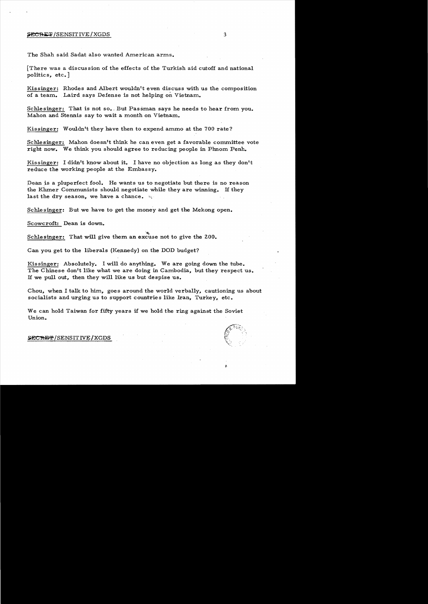#### $\frac{SECRET}{SENSITIVE/XGDS}$  3

The Shah said Sadat also wanted American arms.

[There was a discussion of the effects of the Turkish aid cutoff and national politics, etc.]

Kissinger: Rhodes and Albert wouldn't even discuss with us the composition of a team. Laird says Defense is not helping on Vietnam.

Schlesinger: That is not so., But Passman says he needs to hear from you. Mahon and Stennis say to wait a month on Vietnam.

Kissinger: Wouldn't they have then to expend ammo at the 700 rate?

Schlesinger: Mahon doesn't think he can even get a favorable committee vote right now. We think you should agree to reducing people in Phnom Penh.

Kissinger: I didn't know about it. I have no objection as long as they don't reduce the working people at the Embassy.

Dean is a pluperfect fool. He wants us to negotiate but there is no reason the Khmer Communists should negotiate while they are winning. If they last the dry season, we have a chance.  $\mathbb{Q}$ 

Schlesinger: But we have to get the money and get the Mekong open.

Scowcroft: Dean is down.

"~t Schlesinger: That will give them an excuse not to give the ZOO.

Can you get to the liberals (Kennedy) on the DOD budget?

Kissinger: Absolutely. I will do anything. We are going down the tube. The Chinese don't like what we are doing in Cambodia, but they respect us. If we pull out, then they will like us but despise us.

Chou, when I talk to him, goes around the world verbally, cautioning us about socialists and urging us to support countries like Iran, Turkey, etc.

We can hold Taiwan for fifty years if we hold the ring against the Soviet Union.

# SECRET/SENSITIVE/XGDS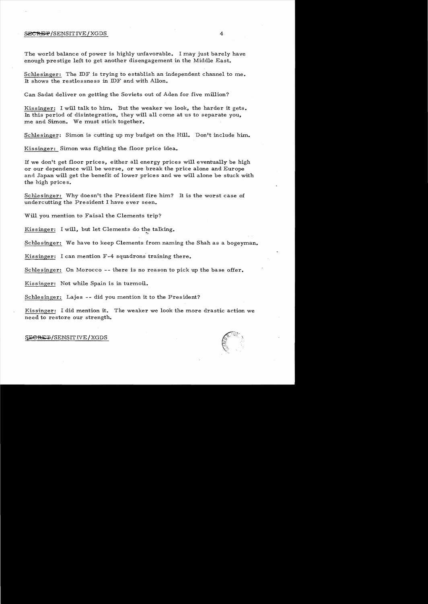#### $S$ ECRET/SENSITIVE/XGDS 4

The world balance of power is highly unfavorable. I may just barely have enough pre stige left to get another disengagement in the Middle East.

Schlesinger: The IDF is trying to establish an independent channel to me. It shows the restlessness in IDF and with Allon.

Can Sadat deliver on getting the Soviets out of Aden for five million?

Kissinger: I will talk to him. But the weaker we look, the harder it gets. In this period of disintegration, they will all come at us to separate you, me and Simon. We must stick together.

Schlesinger: Simon is cutting up my budget on the Hill. Don't include him.

Kissinger: Simon was fighting the floor price idea.

If we don't get floor prices, either all energy prices will eventually be high or our dependence will be worse, or we break the price alone and Europe and Japan will get the benefit of lower prices and we will alone be stuck with the high price s.

Schlesinger: Why doesn't the President fire him? It is the worst case of undercutting the President I have ever seen.

Will you mention to Faisal the Clements trip?

Kissinger: I will, but let Clements do the talking.

Schlesinger: We have to keep Clements from naming the Shah as a bogeyman.

~f

Kissinger: I can mention F-4 squadrons training there.

Schlesinger: On Morocco -- there is no reason to pick up the base offer.

Kissinger: Not while Spain is in turmoil.

Schlesinger: Lajes -- did you mention it to the President?

Kissinger: I did mention it. The weaker we look the more drastic action we need to restore our strength.

#### $S$ E<del>CRET</del>/SENSITIVE/XGDS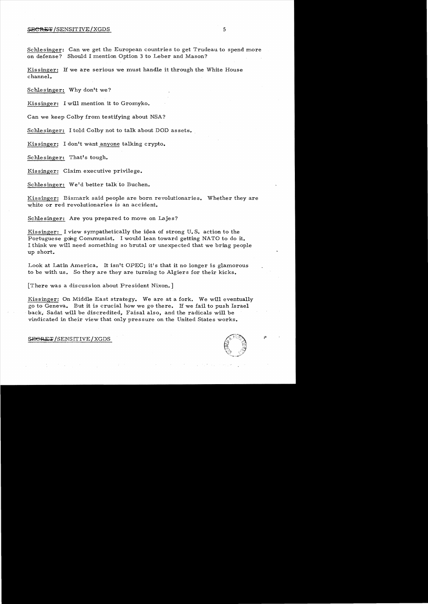## $\frac{1}{2}$   $\frac{1}{2}$   $\frac{1}{2}$   $\frac{1}{2}$   $\frac{1}{2}$   $\frac{1}{2}$   $\frac{1}{2}$   $\frac{1}{2}$   $\frac{1}{2}$   $\frac{1}{2}$   $\frac{1}{2}$   $\frac{1}{2}$   $\frac{1}{2}$   $\frac{1}{2}$   $\frac{1}{2}$   $\frac{1}{2}$   $\frac{1}{2}$   $\frac{1}{2}$   $\frac{1}{2}$   $\frac{1}{2}$   $\frac{1}{2}$   $\frac{1}{2}$

Schlesinger: Can we get the European countries to get Trudeau to spend more on defense? Should I mention Option 3 to Leber and Mason?

Kis singer: If we are serious we must handle it through the White House channel.

Schlesinger: Why don't we?

Kissinger: I will mention it to Gromyko.

Can we keep Colby from testifying about NSA?

Schlesinger: I told Colby not to talk about DOD assets.

Kissinger: I don't want anyone talking crypto.

Schlesinger: That's tough.

Kissinger: Claim executive privilege.

Schlesinger: We'd better talk to Buchen.

Kissinger: Bismark said people are born revolutionaries. Whether they are white or red revolutionaries is an accident.

Schlesinger: Are you prepared to move on Lajes?

Kissinger: I view sympathetically the idea of strong U. S. action to the Portuguese going Communist. I would lean toward getting NATO to do it. I think we will need something so brutal or unexpected that we bring people up short.

Look at Latin America. It isn't OPEC; it's that it no longer is glamorous to be with us. So they are they are turning to Algiers for their kicks.

[There was a discussion about President Nixon.]

Kissinger: On Middle East strategy. We are at a fork. We will eventually go to Geneva. But it is crucial how we go there. If we fail to push Israel . back. Sadat will be discredited, Faisal also, and the radicals will be vindicated in their view that only pressure on the United States works.

#### SEGRET/SENSITIVE/XGDS

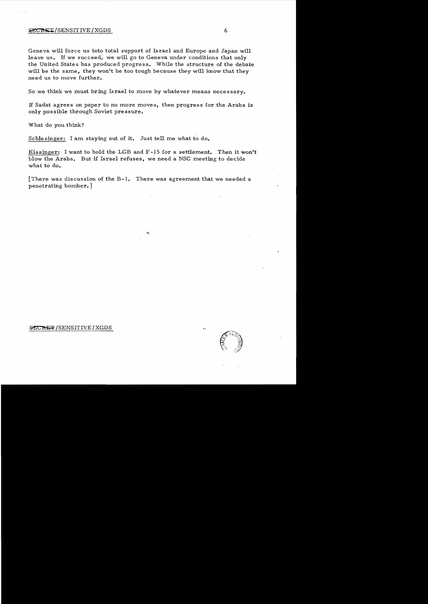#### **EXCRET/SENSITIVE/XGDS** 6

Geneva will force us into total support of Israel and Europe and Japan will leave us. If we succeed, we will go to Geneva under conditions that only the United States has produced progress. While the structure of the debate will be the same, they won't be too tough because they will know that they need us to move further.

So we think we must bring Israel to move by whatever means necessary.

If Sadat agrees on paper to no more moves, then progress for the Arabs is only possible through Soviet pressure.

What do you think?

Schle singer: I am staying out of **it.** Just tell me what to do.

Kissinger: I want to hold the LGB and F-15 for a settlement. Then it won't blow the Arabs. But if Israel refuses, we need a NSC meeting to decide what to do.

[There was discussion of the B-1. There was agreement that we needed a penetrating bornber. ]

# SECRET/SENSITIVE/XGDS

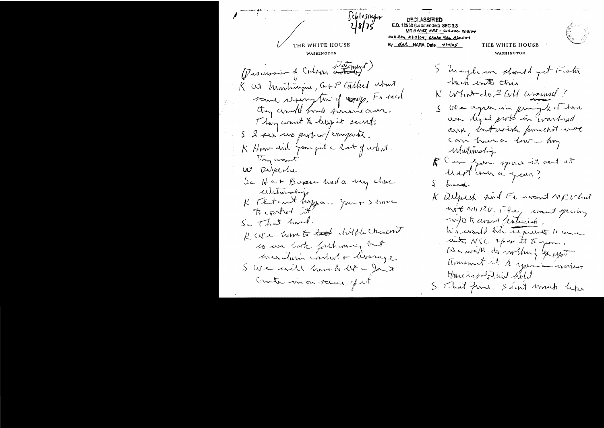Schlesinger **DECLASSIFIED**  $18/75$ E.O. 12958 (as amended) SEC 3.3  $MRH O/55$ ,  $R33 - C/4.11$ , 9/13/04 OSO lts 2113104; ptake the 8/24104 By dal NARA, Date 717105 THE WHITE HOUSE THE WHITE HOUSE WASHINGTON WASHINGTON (Promonin of Colour Latingt) I haybe we should get to sta hach into this K at Martinique, GFP Culled about  $K$  What do 2 CM around? source reasonytime of noney, France S We capter in frangole of home they could find present our. an light probabin warthout Thing won't & keep it secret. arril, but aside powered we S 2 ser uno proton (empartir. can have a low- my K Hoove did jam qut a last of what. Matimotip They want K am you spaid it ant at W Dipedu Mapt aux à quan? Sc Her Bosse und a very close. 2 dresses Watmoly K That can't hoppen. Jan + > home K Delperk sand Fe want Merlint not MI 120. He, want priving w/o to around partnersh. Sc That hand. Wiscould him tequest to une R cve home to hat direct chesant unts NSC xpor 27 to your. to we look forthiming out We will do writing go up minutarin control + levingle. transmit it to your mother I We and anneto let you there is postuit hold trate in on tome of it. S That fine. Saint much lepe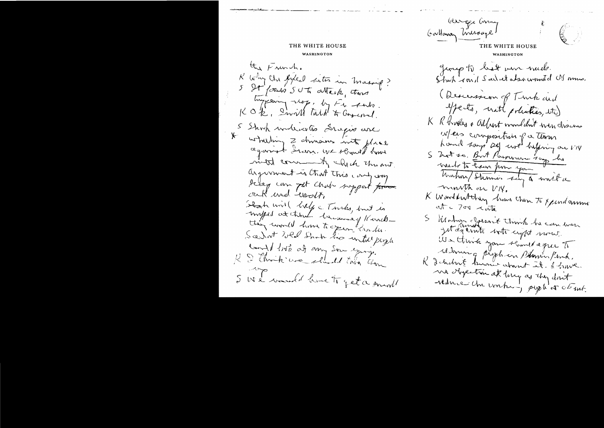#### THE WHITE HOUSE

WASHINGTON

the Franch. K why the fixed sets in massing? 5 St former SUT attack, there KOR, Invitt talk & Congered. 5 Shock underwater Iraques and whiching 2 dimens into flace against Dran. We should have most commently which this out. argument is that this cary way I can get chat support for auf und worth Stack will liely a Turks, but is -imped at time la monde d'unelle they would have to geen trade. Scehot wed Shop his intelligent count / 11st at any Soundary. K & think we shuld this time 5 We want have to get a small

George Gray  $\begin{bmatrix} 1 & 1 \\ 1 & 1 \end{bmatrix}$ THE WHITE HOUSE James to best ven much.<br>Start roud Sarret absortant de Monnes. (Descension of Timb and yperts, not polities, its) K R brooker + albert wonliket were chains were composition of a thousand 5 2nd 20. Birt Passerman 200p les valt to hear pour you Unhor Showing Lay a world a wounth on VIX. K Warddwtthey how then to xpendanmon  $at = 700$   $$\sqrt{ab}$$ S Wahren clarent think he can were jut déferrit votre crept mons. We think you should eque to Mining piphien Phonin Ronk. K débutint territ atout it. L'have me objection at long as they don't reduce Un voctor, popl'or ct ut.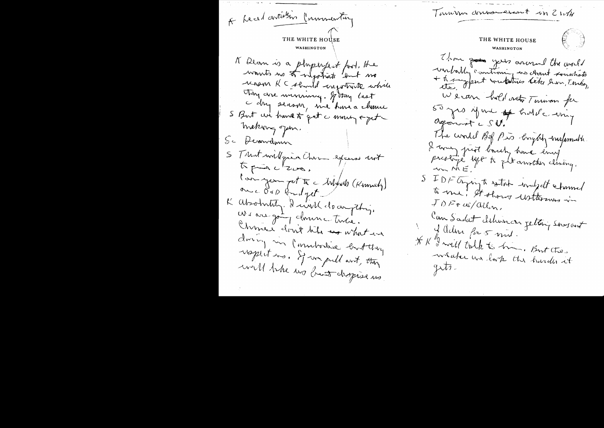Tarrives donnererant in 2 with A Leadartielin Commentury THE WHITE HOUSE THE WHITE HOUSE WASHINGTON Than goes your around the world K Dean is a physical fool, the unbally contrain no chant soushets<br>+ transfert voutatries deta hon, Tention womts no to onlyothat but no renson RC should engotive while Thing are minimiz. If they last We can hold not Tonison for c dry sensor, me have a chance 50 pro june of holde emp S But we have to get a money of get Agonest CSU. meking open. The world Bif Pis bright - ourformable Sc Desarrelmen I was just back home energy. S Trust will give Chem exerces unt to puis c'eve. S IDF Agringte setat would determed l'an you pet te Mylves (Kinnely) to me! It shows usttermes in onc dop budget  $J$  DF  $\tau$  as/allon, K absolutity. Dain't clocupting. We are got donne time. Can Sadat deliveren getting sourcent Chine don't like see what in J Adm for 5 mil. donny un l'immbordise ent thing \* K "I will talk to him. But the respectives. If we pull and they will be us but depise us.

 $\begin{pmatrix} 1 & 1 \\ 1 & 1 \end{pmatrix}$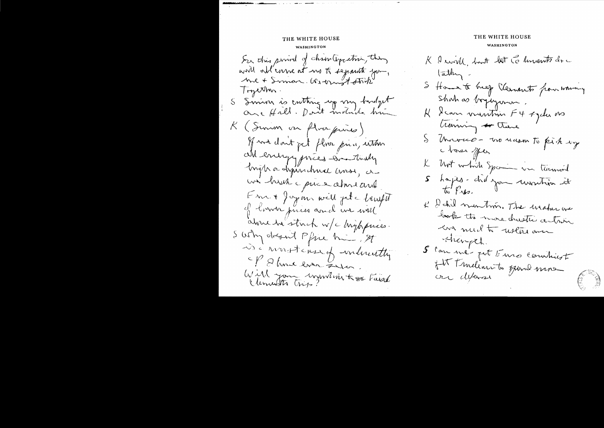# THE WHITE HOUSE WASHINGTON Ser this prival of chain toposition, they world orbl'enne at no to separate you, Tryerhos. S Simin is enthing up vin bustyet K (Summ on floarpris) of ward don't get floor prin, with all energy prices and thaty Ingha a dysinchnice ansse, a un huch puis almeaux Em + Joyan will jet - bruft of lower prices and we will alme he stack w/c highpnes. S why dream Pfine him, St is a revert case of indicating Et Dhoue even Zum. Will you invitation te Faisal

# THE WHITE HOUSE

#### **WASHINGTON**

K & will, but let Ce humts doc  $\tan \frac{1}{2}$ S Home to breeze Clements from woming Shahas boyingman. K I can vumtim F4 + ydu ons Coming or there S Universe - vos masos to pick up ctoses sper K bbrt which Spain un termoil 5 hoyes-chiloyen revention et  $\omega$   $F$ K & chil montion. The weaker one lask the wave checities action In multo usere an Hength. S can me pet Euro communist fit tendinnets gand mos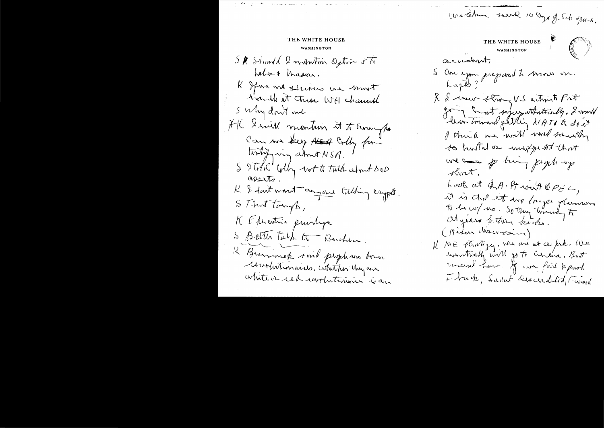Windman serve 10 crys of Schopuck,  $\begin{pmatrix} 1 & 0 & 0 \\ 0 & 0 & 0 \\ 0 & 0 & 0 \\ 0 & 0 & 0 \end{pmatrix}$ THE WHITE HOUSE WASHINGTON acudent. S Au you prepared te mois on X & cover strong U.S artimite Port going and my whating, I would bran toward getting NATI to do it I think we will will sawith to huster or importat that use of thing prophety threat, Look at d.A. Strout OPEC, it is that it was longer glaronum to 10 w / no. So they timed to all green setting sicks. (Midan Mauresin) K ME Flintigy, We are at ce prins We wontrinkly will go to concina, But micine home. If we faid to pash I buch, Sailat Descredition (wind

THE WHITE HOUSE WASHINGTON SK Should I mantin Option 3Th Lebert Mason, K Ifina are fluous une most S Why don't me HK I mill mention it to brought Comme key start colly for S 2 Total colly not to talk about DOD K I don't want anyone talking crypts. STINT tomp, K Executive providence S BETTLE Türk G Buchen. 2 Brownwich sind prophase boun Cearturemaires. Whither they are white or red unobitains is an